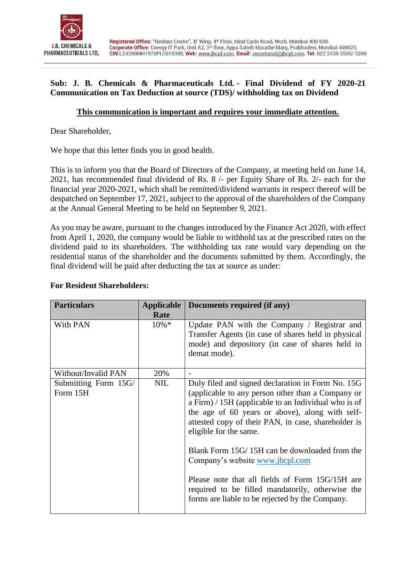

## **Sub: J. B. Chemicals & Pharmaceuticals Ltd. - Final Dividend of FY 2020-21 Communication on Tax Deduction at source (TDS)/ withholding tax on Dividend**

## **This communication is important and requires your immediate attention.**

Dear Shareholder,

We hope that this letter finds you in good health.

This is to inform you that the Board of Directors of the Company, at meeting held on June 14, 2021, has recommended final dividend of Rs. 8 /- per Equity Share of Rs. 2/- each for the financial year 2020-2021, which shall be remitted/dividend warrants in respect thereof will be despatched on September 17, 2021, subject to the approval of the shareholders of the Company at the Annual General Meeting to be held on September 9, 2021.

As you may be aware, pursuant to the changes introduced by the Finance Act 2020, with effect from April 1, 2020, the company would be liable to withhold tax at the prescribed rates on the dividend paid to its shareholders. The withholding tax rate would vary depending on the residential status of the shareholder and the documents submitted by them. Accordingly, the final dividend will be paid after deducting the tax at source as under:

#### **For Resident Shareholders:**

| <b>Particulars</b>               | Applicable | Documents required (if any)                                                                                                                                                                                                                                                                          |  |  |
|----------------------------------|------------|------------------------------------------------------------------------------------------------------------------------------------------------------------------------------------------------------------------------------------------------------------------------------------------------------|--|--|
|                                  | Rate       |                                                                                                                                                                                                                                                                                                      |  |  |
| With PAN                         | $10\% *$   | Update PAN with the Company / Registrar and<br>Transfer Agents (in case of shares held in physical<br>mode) and depository (in case of shares held in<br>demat mode).                                                                                                                                |  |  |
| Without/Invalid PAN              | 20%        |                                                                                                                                                                                                                                                                                                      |  |  |
| Submitting Form 15G/<br>Form 15H | <b>NIL</b> | Duly filed and signed declaration in Form No. 15G<br>(applicable to any person other than a Company or<br>a Firm) $/ 15H$ (applicable to an Individual who is of<br>the age of 60 years or above), along with self-<br>attested copy of their PAN, in case, shareholder is<br>eligible for the same. |  |  |
|                                  |            | Blank Form 15G/15H can be downloaded from the<br>Company's website www.jbcpl.com                                                                                                                                                                                                                     |  |  |
|                                  |            | Please note that all fields of Form 15G/15H are<br>required to be filled mandatorily, otherwise the<br>forms are liable to be rejected by the Company.                                                                                                                                               |  |  |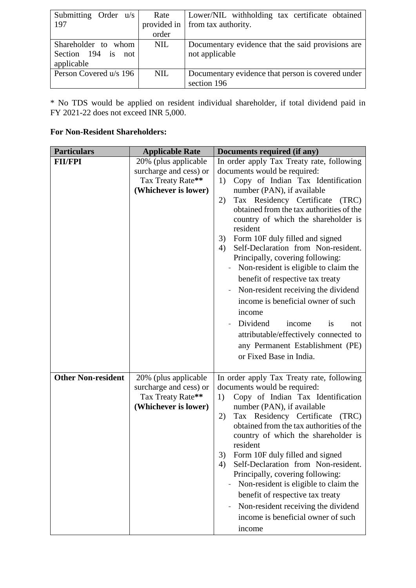| Submitting Order $u/s$ | Rate        | Lower/NIL withholding tax certificate obtained    |
|------------------------|-------------|---------------------------------------------------|
| 197                    | provided in | from tax authority.                               |
|                        | order       |                                                   |
| Shareholder to whom    | <b>NIL</b>  | Documentary evidence that the said provisions are |
| Section 194 is not     |             | not applicable                                    |
| applicable             |             |                                                   |
| Person Covered u/s 196 | <b>NIL</b>  | Documentary evidence that person is covered under |
|                        |             | section 196                                       |

\* No TDS would be applied on resident individual shareholder, if total dividend paid in FY 2021-22 does not exceed INR 5,000.

#### **For Non-Resident Shareholders:**

| <b>Particulars</b>        | <b>Applicable Rate</b>                    | Documents required (if any)                                                                                                                                                       |  |  |  |
|---------------------------|-------------------------------------------|-----------------------------------------------------------------------------------------------------------------------------------------------------------------------------------|--|--|--|
| <b>FII/FPI</b>            | 20% (plus applicable                      | In order apply Tax Treaty rate, following                                                                                                                                         |  |  |  |
|                           | surcharge and cess) or                    | documents would be required:                                                                                                                                                      |  |  |  |
|                           | Tax Treaty Rate**                         | Copy of Indian Tax Identification<br>1)                                                                                                                                           |  |  |  |
|                           | (Whichever is lower)                      | number (PAN), if available                                                                                                                                                        |  |  |  |
|                           |                                           | Tax Residency Certificate<br>(TRC)<br>2)                                                                                                                                          |  |  |  |
|                           |                                           | obtained from the tax authorities of the<br>country of which the shareholder is<br>resident<br>Form 10F duly filled and signed<br>3)<br>Self-Declaration from Non-resident.<br>4) |  |  |  |
|                           |                                           | Principally, covering following:                                                                                                                                                  |  |  |  |
|                           |                                           | Non-resident is eligible to claim the<br>benefit of respective tax treaty                                                                                                         |  |  |  |
|                           |                                           | Non-resident receiving the dividend                                                                                                                                               |  |  |  |
|                           |                                           | income is beneficial owner of such                                                                                                                                                |  |  |  |
|                           |                                           | income                                                                                                                                                                            |  |  |  |
|                           |                                           | Dividend<br>income<br>is<br>not                                                                                                                                                   |  |  |  |
|                           |                                           | attributable/effectively connected to                                                                                                                                             |  |  |  |
|                           |                                           | any Permanent Establishment (PE)                                                                                                                                                  |  |  |  |
|                           |                                           | or Fixed Base in India.                                                                                                                                                           |  |  |  |
| <b>Other Non-resident</b> | 20% (plus applicable                      | In order apply Tax Treaty rate, following                                                                                                                                         |  |  |  |
|                           | surcharge and cess) or                    | documents would be required:                                                                                                                                                      |  |  |  |
|                           | Tax Treaty Rate**<br>(Whichever is lower) | Copy of Indian Tax Identification<br>1)<br>number (PAN), if available                                                                                                             |  |  |  |
|                           |                                           | Tax Residency Certificate (TRC)<br>2)                                                                                                                                             |  |  |  |
|                           |                                           | obtained from the tax authorities of the<br>country of which the shareholder is<br>resident                                                                                       |  |  |  |
|                           |                                           | 3)<br>Form 10F duly filled and signed                                                                                                                                             |  |  |  |
|                           |                                           | Self-Declaration from Non-resident.<br>4)                                                                                                                                         |  |  |  |
|                           |                                           | Principally, covering following:                                                                                                                                                  |  |  |  |
|                           |                                           | Non-resident is eligible to claim the                                                                                                                                             |  |  |  |
|                           |                                           | benefit of respective tax treaty                                                                                                                                                  |  |  |  |
|                           |                                           | Non-resident receiving the dividend                                                                                                                                               |  |  |  |
|                           |                                           | income is beneficial owner of such                                                                                                                                                |  |  |  |
|                           |                                           | income                                                                                                                                                                            |  |  |  |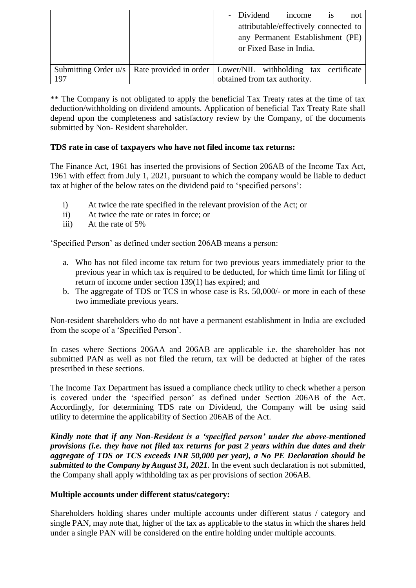|     |                                                                                       | - Dividend                            | income | 1S | not |
|-----|---------------------------------------------------------------------------------------|---------------------------------------|--------|----|-----|
|     |                                                                                       | attributable/effectively connected to |        |    |     |
|     |                                                                                       | any Permanent Establishment (PE)      |        |    |     |
|     |                                                                                       | or Fixed Base in India.               |        |    |     |
|     |                                                                                       |                                       |        |    |     |
|     | Submitting Order u/s   Rate provided in order   Lower/NIL withholding tax certificate |                                       |        |    |     |
| 197 |                                                                                       | obtained from tax authority.          |        |    |     |

\*\* The Company is not obligated to apply the beneficial Tax Treaty rates at the time of tax deduction/withholding on dividend amounts. Application of beneficial Tax Treaty Rate shall depend upon the completeness and satisfactory review by the Company, of the documents submitted by Non- Resident shareholder.

## **TDS rate in case of taxpayers who have not filed income tax returns:**

The Finance Act, 1961 has inserted the provisions of Section 206AB of the Income Tax Act, 1961 with effect from July 1, 2021, pursuant to which the company would be liable to deduct tax at higher of the below rates on the dividend paid to 'specified persons':

- i) At twice the rate specified in the relevant provision of the Act; or
- ii) At twice the rate or rates in force; or
- iii) At the rate of 5%

'Specified Person' as defined under section 206AB means a person:

- a. Who has not filed income tax return for two previous years immediately prior to the previous year in which tax is required to be deducted, for which time limit for filing of return of income under section 139(1) has expired; and
- b. The aggregate of TDS or TCS in whose case is Rs. 50,000/- or more in each of these two immediate previous years.

Non-resident shareholders who do not have a permanent establishment in India are excluded from the scope of a 'Specified Person'.

In cases where Sections 206AA and 206AB are applicable i.e. the shareholder has not submitted PAN as well as not filed the return, tax will be deducted at higher of the rates prescribed in these sections.

The Income Tax Department has issued a compliance check utility to check whether a person is covered under the 'specified person' as defined under Section 206AB of the Act. Accordingly, for determining TDS rate on Dividend, the Company will be using said utility to determine the applicability of Section 206AB of the Act.

*Kindly note that if any Non-Resident is a 'specified person' under the above-mentioned provisions (i.e. they have not filed tax returns for past 2 years within due dates and their aggregate of TDS or TCS exceeds INR 50,000 per year), a No PE Declaration should be submitted to the Company by August 31, 2021*. In the event such declaration is not submitted, the Company shall apply withholding tax as per provisions of section 206AB.

#### **Multiple accounts under different status/category:**

Shareholders holding shares under multiple accounts under different status / category and single PAN, may note that, higher of the tax as applicable to the status in which the shares held under a single PAN will be considered on the entire holding under multiple accounts.